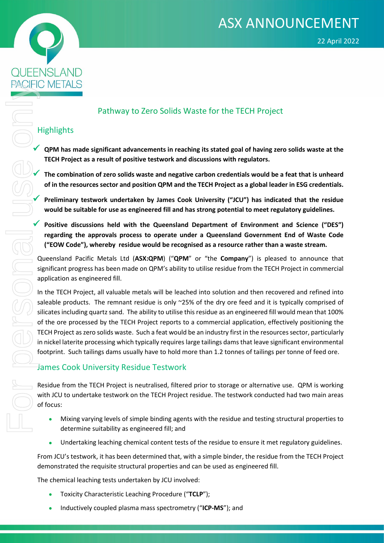



### Pathway to Zero Solids Waste for the TECH Project

#### **Highlights**

 **QPM has made significant advancements in reaching its stated goal of having zero solids waste at the TECH Project as a result of positive testwork and discussions with regulators.** 

 **The combination of zero solids waste and negative carbon credentials would be a feat that is unheard of in the resources sector and position QPM and the TECH Project as a global leader in ESG credentials.**

 **Preliminary testwork undertaken by James Cook University ("JCU") has indicated that the residue would be suitable for use as engineered fill and has strong potential to meet regulatory guidelines.**

**Positive discussions held with the Queensland Department of Environment and Science ("DES")**<br>regarding the approvals process to operate under a Queensland Government End of Waste Code<br>("EOW Code"), whereby residue would b **regarding the approvals process to operate under a Queensland Government End of Waste Code ("EOW Code"), whereby residue would be recognised as a resource rather than a waste stream.** 

Queensland Pacific Metals Ltd (**ASX:QPM**) ("**QPM**" or "the **Company**") is pleased to announce that significant progress has been made on QPM's ability to utilise residue from the TECH Project in commercial application as engineered fill.

In the TECH Project, all valuable metals will be leached into solution and then recovered and refined into saleable products. The remnant residue is only ~25% of the dry ore feed and it is typically comprised of silicates including quartz sand. The ability to utilise this residue as an engineered fill would mean that 100% of the ore processed by the TECH Project reports to a commercial application, effectively positioning the TECH Project as zero solids waste. Such a feat would be an industry first in the resources sector, particularly in nickel laterite processing which typically requires large tailings dams that leave significant environmental footprint. Such tailings dams usually have to hold more than 1.2 tonnes of tailings per tonne of feed ore.

#### James Cook University Residue Testwork

Residue from the TECH Project is neutralised, filtered prior to storage or alternative use. QPM is working with JCU to undertake testwork on the TECH Project residue. The testwork conducted had two main areas of focus:

- Mixing varying levels of simple binding agents with the residue and testing structural properties to determine suitability as engineered fill; and
- Undertaking leaching chemical content tests of the residue to ensure it met regulatory guidelines.

From JCU's testwork, it has been determined that, with a simple binder, the residue from the TECH Project demonstrated the requisite structural properties and can be used as engineered fill.

The chemical leaching tests undertaken by JCU involved:

- Toxicity Characteristic Leaching Procedure ("**TCLP**");
- Inductively coupled plasma mass spectrometry ("**ICP-MS**"); and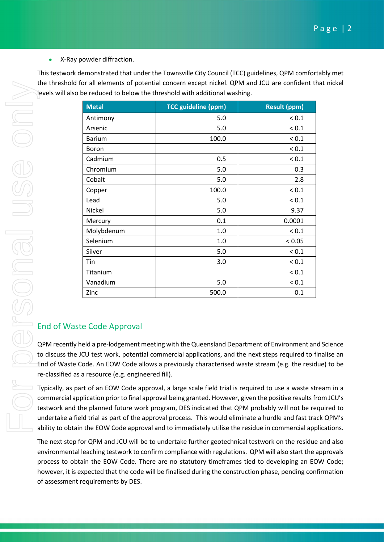• X-Ray powder diffraction.

This testwork demonstrated that under the Townsville City Council (TCC) guidelines, QPM comfortably met the threshold for all elements of potential concern except nickel. QPM and JCU are confident that nickel levels will also be reduced to below the threshold with additional washing.

|                                                                                                                                                                                                                                                                                                                                                                                                                                                                                                                                                                                                             | <b>Metal</b>                       | <b>TCC guideline (ppm)</b>                                                                                                                                                                                                                                                                                                                                                                                                                                                                                                                                                                                                                                                                                       | <b>Result (ppm)</b> |
|-------------------------------------------------------------------------------------------------------------------------------------------------------------------------------------------------------------------------------------------------------------------------------------------------------------------------------------------------------------------------------------------------------------------------------------------------------------------------------------------------------------------------------------------------------------------------------------------------------------|------------------------------------|------------------------------------------------------------------------------------------------------------------------------------------------------------------------------------------------------------------------------------------------------------------------------------------------------------------------------------------------------------------------------------------------------------------------------------------------------------------------------------------------------------------------------------------------------------------------------------------------------------------------------------------------------------------------------------------------------------------|---------------------|
|                                                                                                                                                                                                                                                                                                                                                                                                                                                                                                                                                                                                             | Antimony                           | 5.0                                                                                                                                                                                                                                                                                                                                                                                                                                                                                                                                                                                                                                                                                                              | ${}_{0.1}$          |
|                                                                                                                                                                                                                                                                                                                                                                                                                                                                                                                                                                                                             | Arsenic                            | 5.0                                                                                                                                                                                                                                                                                                                                                                                                                                                                                                                                                                                                                                                                                                              | ${}_{0.1}$          |
|                                                                                                                                                                                                                                                                                                                                                                                                                                                                                                                                                                                                             | <b>Barium</b>                      | 100.0                                                                                                                                                                                                                                                                                                                                                                                                                                                                                                                                                                                                                                                                                                            | ${}_{0.1}$          |
|                                                                                                                                                                                                                                                                                                                                                                                                                                                                                                                                                                                                             | <b>Boron</b>                       |                                                                                                                                                                                                                                                                                                                                                                                                                                                                                                                                                                                                                                                                                                                  | ${}_{0.1}$          |
|                                                                                                                                                                                                                                                                                                                                                                                                                                                                                                                                                                                                             | Cadmium                            | 0.5                                                                                                                                                                                                                                                                                                                                                                                                                                                                                                                                                                                                                                                                                                              | ${}_{0.1}$          |
|                                                                                                                                                                                                                                                                                                                                                                                                                                                                                                                                                                                                             | Chromium                           | 5.0                                                                                                                                                                                                                                                                                                                                                                                                                                                                                                                                                                                                                                                                                                              | 0.3                 |
|                                                                                                                                                                                                                                                                                                                                                                                                                                                                                                                                                                                                             | Cobalt                             | 5.0                                                                                                                                                                                                                                                                                                                                                                                                                                                                                                                                                                                                                                                                                                              | 2.8                 |
|                                                                                                                                                                                                                                                                                                                                                                                                                                                                                                                                                                                                             | Copper                             | 100.0                                                                                                                                                                                                                                                                                                                                                                                                                                                                                                                                                                                                                                                                                                            | ${}_{0.1}$          |
|                                                                                                                                                                                                                                                                                                                                                                                                                                                                                                                                                                                                             | Lead                               | 5.0                                                                                                                                                                                                                                                                                                                                                                                                                                                                                                                                                                                                                                                                                                              | ${}_{0.1}$          |
|                                                                                                                                                                                                                                                                                                                                                                                                                                                                                                                                                                                                             | Nickel                             | 5.0                                                                                                                                                                                                                                                                                                                                                                                                                                                                                                                                                                                                                                                                                                              | 9.37                |
|                                                                                                                                                                                                                                                                                                                                                                                                                                                                                                                                                                                                             | Mercury                            | 0.1                                                                                                                                                                                                                                                                                                                                                                                                                                                                                                                                                                                                                                                                                                              | 0.0001              |
|                                                                                                                                                                                                                                                                                                                                                                                                                                                                                                                                                                                                             | Molybdenum                         | 1.0                                                                                                                                                                                                                                                                                                                                                                                                                                                                                                                                                                                                                                                                                                              | ${}_{0.1}$          |
|                                                                                                                                                                                                                                                                                                                                                                                                                                                                                                                                                                                                             | Selenium                           | 1.0                                                                                                                                                                                                                                                                                                                                                                                                                                                                                                                                                                                                                                                                                                              | < 0.05              |
|                                                                                                                                                                                                                                                                                                                                                                                                                                                                                                                                                                                                             | Silver                             | 5.0                                                                                                                                                                                                                                                                                                                                                                                                                                                                                                                                                                                                                                                                                                              | ${}_{0.1}$          |
|                                                                                                                                                                                                                                                                                                                                                                                                                                                                                                                                                                                                             | Tin                                | 3.0                                                                                                                                                                                                                                                                                                                                                                                                                                                                                                                                                                                                                                                                                                              | ${}_{0.1}$          |
|                                                                                                                                                                                                                                                                                                                                                                                                                                                                                                                                                                                                             | Titanium                           |                                                                                                                                                                                                                                                                                                                                                                                                                                                                                                                                                                                                                                                                                                                  | ${}_{0.1}$          |
|                                                                                                                                                                                                                                                                                                                                                                                                                                                                                                                                                                                                             | Vanadium                           | 5.0                                                                                                                                                                                                                                                                                                                                                                                                                                                                                                                                                                                                                                                                                                              | ${}_{0.1}$          |
|                                                                                                                                                                                                                                                                                                                                                                                                                                                                                                                                                                                                             | Zinc                               | 500.0                                                                                                                                                                                                                                                                                                                                                                                                                                                                                                                                                                                                                                                                                                            | 0.1                 |
| <b>End of Waste Code Approval</b><br>QPM recently held a pre-lodgement meeting with the Queensland Department of Environment ar<br>to discuss the JCU test work, potential commercial applications, and the next steps required to t<br>End of Waste Code. An EOW Code allows a previously characterised waste stream (e.g. the resion<br>re-classified as a resource (e.g. engineered fill).<br>Typically, as part of an EOW Code approval, a large scale field trial is required to use a waste st<br>commercial application prior to final approval being granted. However, given the positive results f |                                    |                                                                                                                                                                                                                                                                                                                                                                                                                                                                                                                                                                                                                                                                                                                  |                     |
|                                                                                                                                                                                                                                                                                                                                                                                                                                                                                                                                                                                                             |                                    | testwork and the planned future work program, DES indicated that QPM probably will not be re<br>undertake a field trial as part of the approval process. This would eliminate a hurdle and fast tra<br>ability to obtain the EOW Code approval and to immediately utilise the residue in commercial ap<br>The next step for QPM and JCU will be to undertake further geotechnical testwork on the residue<br>environmental leaching testwork to confirm compliance with regulations. QPM will also start the<br>process to obtain the EOW Code. There are no statutory timeframes tied to developing an EO<br>however, it is expected that the code will be finalised during the construction phase, pending cor |                     |
|                                                                                                                                                                                                                                                                                                                                                                                                                                                                                                                                                                                                             | of assessment requirements by DES. |                                                                                                                                                                                                                                                                                                                                                                                                                                                                                                                                                                                                                                                                                                                  |                     |

# End of Waste Code Approval

QPM recently held a pre-lodgement meeting with the Queensland Department of Environment and Science to discuss the JCU test work, potential commercial applications, and the next steps required to finalise an End of Waste Code. An EOW Code allows a previously characterised waste stream (e.g. the residue) to be re-classified as a resource (e.g. engineered fill).

Typically, as part of an EOW Code approval, a large scale field trial is required to use a waste stream in a commercial application prior to final approval being granted. However, given the positive results from JCU's testwork and the planned future work program, DES indicated that QPM probably will not be required to undertake a field trial as part of the approval process. This would eliminate a hurdle and fast track QPM's ability to obtain the EOW Code approval and to immediately utilise the residue in commercial applications.

The next step for QPM and JCU will be to undertake further geotechnical testwork on the residue and also environmental leaching testwork to confirm compliance with regulations. QPM will also start the approvals process to obtain the EOW Code. There are no statutory timeframes tied to developing an EOW Code; however, it is expected that the code will be finalised during the construction phase, pending confirmation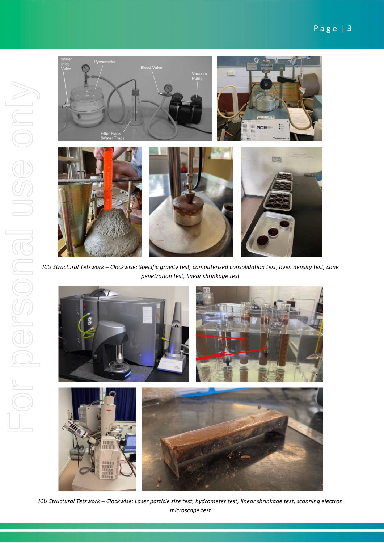

*JCU Structural Tetswork – Clockwise: Specific gravity test, computerised consolidation test, oven density test, cone penetration test, linear shrinkage test*



*JCU Structural Tetswork – Clockwise: Laser particle size test, hydrometer test, linear shrinkage test, scanning electron microscope test*